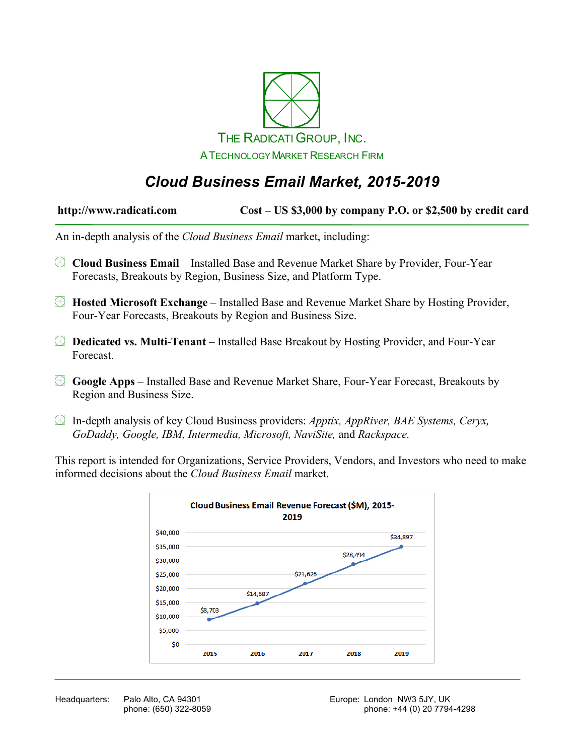

# *Cloud Business Email Market, 2015-2019*

| http://www.radicati.com | Cost – US \$3,000 by company P.O. or \$2,500 by credit card |
|-------------------------|-------------------------------------------------------------|
|-------------------------|-------------------------------------------------------------|

An in-depth analysis of the *Cloud Business Email* market, including:

- **Cloud Business Email** Installed Base and Revenue Market Share by Provider, Four-Year Forecasts, Breakouts by Region, Business Size, and Platform Type.
- **Hosted Microsoft Exchange** Installed Base and Revenue Market Share by Hosting Provider, Four-Year Forecasts, Breakouts by Region and Business Size.
- **Dedicated vs. Multi-Tenant**  Installed Base Breakout by Hosting Provider, and Four-Year Forecast.
- **Google Apps** Installed Base and Revenue Market Share, Four-Year Forecast, Breakouts by Region and Business Size.
- In-depth analysis of key Cloud Business providers: *Apptix, AppRiver, BAE Systems, Ceryx, GoDaddy, Google, IBM, Intermedia, Microsoft, NaviSite,* and *Rackspace.*

This report is intended for Organizations, Service Providers, Vendors, and Investors who need to make informed decisions about the *Cloud Business Email* market.

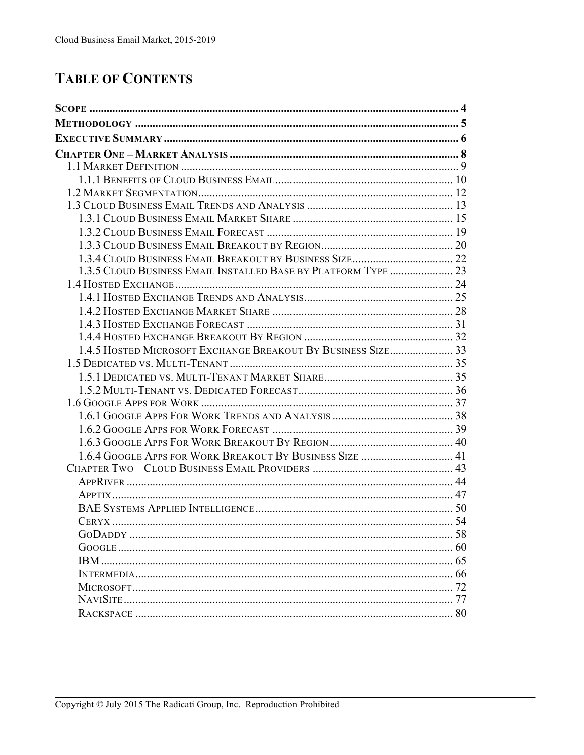# **TABLE OF CONTENTS**

| 1.3.5 CLOUD BUSINESS EMAIL INSTALLED BASE BY PLATFORM TYPE  23 |    |
|----------------------------------------------------------------|----|
|                                                                |    |
|                                                                |    |
|                                                                |    |
|                                                                |    |
|                                                                |    |
| 1.4.5 HOSTED MICROSOFT EXCHANGE BREAKOUT BY BUSINESS SIZE33    |    |
|                                                                |    |
|                                                                |    |
|                                                                |    |
|                                                                |    |
|                                                                |    |
|                                                                |    |
|                                                                |    |
|                                                                |    |
|                                                                |    |
|                                                                |    |
|                                                                |    |
|                                                                |    |
|                                                                |    |
|                                                                |    |
|                                                                |    |
| IBM.                                                           |    |
|                                                                |    |
|                                                                | 72 |
|                                                                |    |
|                                                                |    |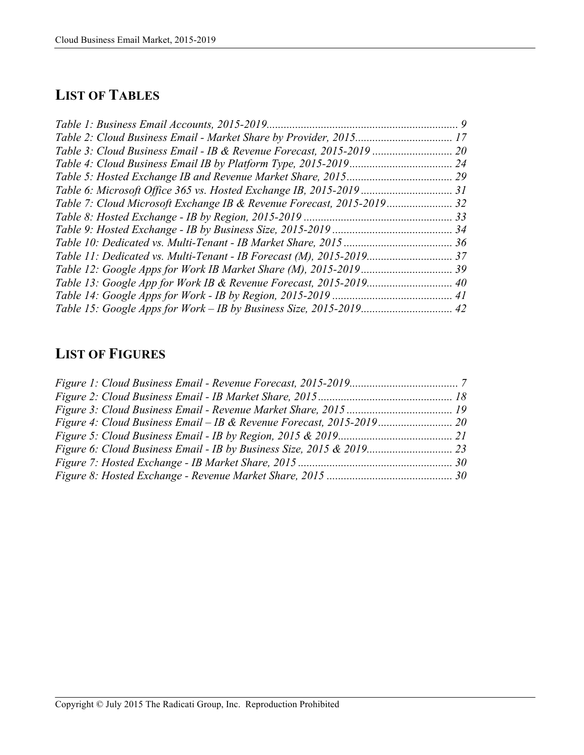# **LIST OF TABLES**

| Table 3: Cloud Business Email - IB & Revenue Forecast, 2015-2019 |  |
|------------------------------------------------------------------|--|
|                                                                  |  |
|                                                                  |  |
|                                                                  |  |
|                                                                  |  |
|                                                                  |  |
|                                                                  |  |
|                                                                  |  |
|                                                                  |  |
|                                                                  |  |
|                                                                  |  |
|                                                                  |  |
|                                                                  |  |

### **LIST OF FIGURES**